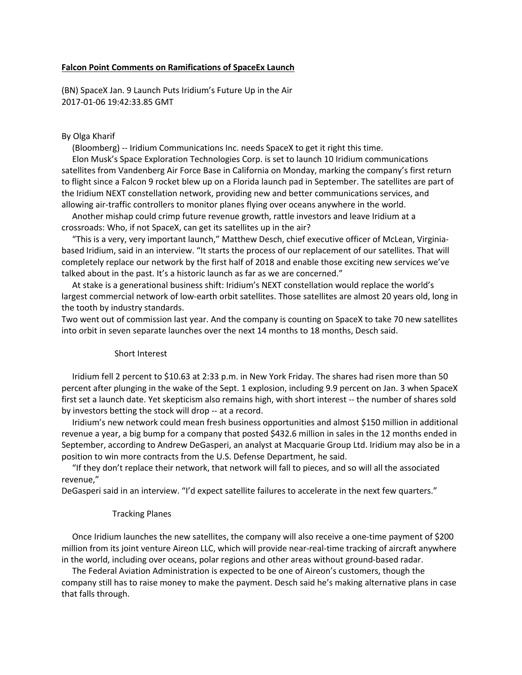### **Falcon Point Comments on Ramifications of SpaceEx Launch**

(BN) SpaceX Jan. 9 Launch Puts Iridium's Future Up in the Air 2017-01-06 19:42:33.85 GMT

# By Olga Kharif

(Bloomberg) -- Iridium Communications Inc. needs SpaceX to get it right this time.

 Elon Musk's Space Exploration Technologies Corp. is set to launch 10 Iridium communications satellites from Vandenberg Air Force Base in California on Monday, marking the company's first return to flight since a Falcon 9 rocket blew up on a Florida launch pad in September. The satellites are part of the Iridium NEXT constellation network, providing new and better communications services, and allowing air-traffic controllers to monitor planes flying over oceans anywhere in the world.

 Another mishap could crimp future revenue growth, rattle investors and leave Iridium at a crossroads: Who, if not SpaceX, can get its satellites up in the air?

 "This is a very, very important launch," Matthew Desch, chief executive officer of McLean, Virginiabased Iridium, said in an interview. "It starts the process of our replacement of our satellites. That will completely replace our network by the first half of 2018 and enable those exciting new services we've talked about in the past. It's a historic launch as far as we are concerned."

 At stake is a generational business shift: Iridium's NEXT constellation would replace the world's largest commercial network of low-earth orbit satellites. Those satellites are almost 20 years old, long in the tooth by industry standards.

Two went out of commission last year. And the company is counting on SpaceX to take 70 new satellites into orbit in seven separate launches over the next 14 months to 18 months, Desch said.

### Short Interest

 Iridium fell 2 percent to \$10.63 at 2:33 p.m. in New York Friday. The shares had risen more than 50 percent after plunging in the wake of the Sept. 1 explosion, including 9.9 percent on Jan. 3 when SpaceX first set a launch date. Yet skepticism also remains high, with short interest -- the number of shares sold by investors betting the stock will drop -- at a record.

 Iridium's new network could mean fresh business opportunities and almost \$150 million in additional revenue a year, a big bump for a company that posted \$432.6 million in sales in the 12 months ended in September, according to Andrew DeGasperi, an analyst at Macquarie Group Ltd. Iridium may also be in a position to win more contracts from the U.S. Defense Department, he said.

 "If they don't replace their network, that network will fall to pieces, and so will all the associated revenue,"

DeGasperi said in an interview. "I'd expect satellite failures to accelerate in the next few quarters."

#### Tracking Planes

 Once Iridium launches the new satellites, the company will also receive a one-time payment of \$200 million from its joint venture Aireon LLC, which will provide near-real-time tracking of aircraft anywhere in the world, including over oceans, polar regions and other areas without ground-based radar.

 The Federal Aviation Administration is expected to be one of Aireon's customers, though the company still has to raise money to make the payment. Desch said he's making alternative plans in case that falls through.